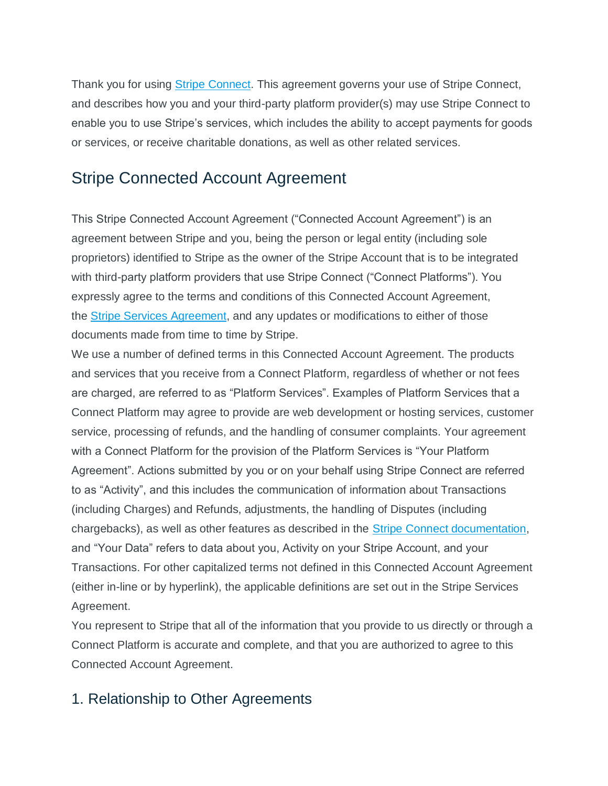Thank you for using **Stripe Connect**. This agreement governs your use of Stripe Connect, and describes how you and your third-party platform provider(s) may use Stripe Connect to enable you to use Stripe's services, which includes the ability to accept payments for goods or services, or receive charitable donations, as well as other related services.

# Stripe Connected Account Agreement

This Stripe Connected Account Agreement ("Connected Account Agreement") is an agreement between Stripe and you, being the person or legal entity (including sole proprietors) identified to Stripe as the owner of the Stripe Account that is to be integrated with third-party platform providers that use Stripe Connect ("Connect Platforms"). You expressly agree to the terms and conditions of this Connected Account Agreement, the Stripe Services [Agreement,](https://stripe.com/legal) and any updates or modifications to either of those documents made from time to time by Stripe.

We use a number of defined terms in this Connected Account Agreement. The products and services that you receive from a Connect Platform, regardless of whether or not fees are charged, are referred to as "Platform Services". Examples of Platform Services that a Connect Platform may agree to provide are web development or hosting services, customer service, processing of refunds, and the handling of consumer complaints. Your agreement with a Connect Platform for the provision of the Platform Services is "Your Platform Agreement". Actions submitted by you or on your behalf using Stripe Connect are referred to as "Activity", and this includes the communication of information about Transactions (including Charges) and Refunds, adjustments, the handling of Disputes (including chargebacks), as well as other features as described in the **Stripe Connect documentation**, and "Your Data" refers to data about you, Activity on your Stripe Account, and your Transactions. For other capitalized terms not defined in this Connected Account Agreement (either in-line or by hyperlink), the applicable definitions are set out in the Stripe Services Agreement.

You represent to Stripe that all of the information that you provide to us directly or through a Connect Platform is accurate and complete, and that you are authorized to agree to this Connected Account Agreement.

## 1. Relationship to Other Agreements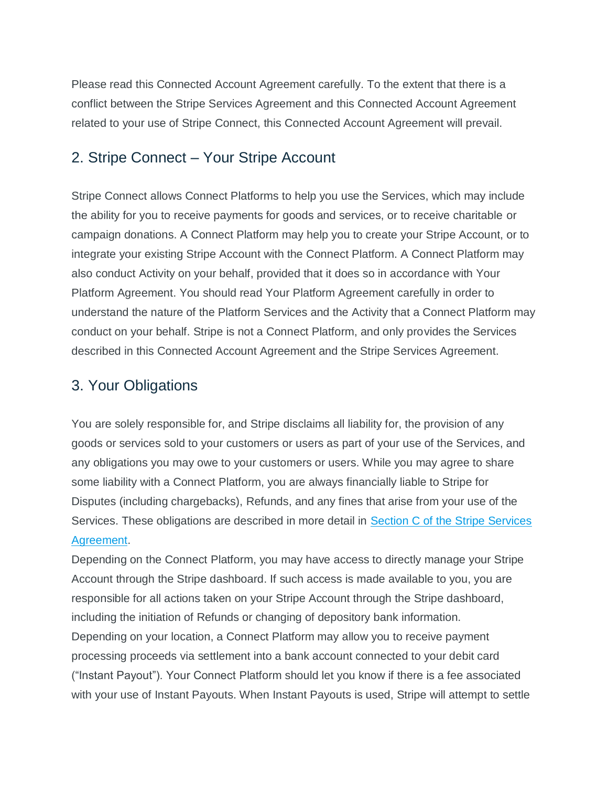Please read this Connected Account Agreement carefully. To the extent that there is a conflict between the Stripe Services Agreement and this Connected Account Agreement related to your use of Stripe Connect, this Connected Account Agreement will prevail.

### 2. Stripe Connect – Your Stripe Account

Stripe Connect allows Connect Platforms to help you use the Services, which may include the ability for you to receive payments for goods and services, or to receive charitable or campaign donations. A Connect Platform may help you to create your Stripe Account, or to integrate your existing Stripe Account with the Connect Platform. A Connect Platform may also conduct Activity on your behalf, provided that it does so in accordance with Your Platform Agreement. You should read Your Platform Agreement carefully in order to understand the nature of the Platform Services and the Activity that a Connect Platform may conduct on your behalf. Stripe is not a Connect Platform, and only provides the Services described in this Connected Account Agreement and the Stripe Services Agreement.

### 3. Your Obligations

You are solely responsible for, and Stripe disclaims all liability for, the provision of any goods or services sold to your customers or users as part of your use of the Services, and any obligations you may owe to your customers or users. While you may agree to share some liability with a Connect Platform, you are always financially liable to Stripe for Disputes (including chargebacks), Refunds, and any fines that arise from your use of the Services. These obligations are described in more detail in Section C of the Stripe [Services](https://stripe.com/legal#section_c) [Agreement.](https://stripe.com/legal#section_c)

Depending on the Connect Platform, you may have access to directly manage your Stripe Account through the Stripe dashboard. If such access is made available to you, you are responsible for all actions taken on your Stripe Account through the Stripe dashboard, including the initiation of Refunds or changing of depository bank information. Depending on your location, a Connect Platform may allow you to receive payment processing proceeds via settlement into a bank account connected to your debit card ("Instant Payout"). Your Connect Platform should let you know if there is a fee associated with your use of Instant Payouts. When Instant Payouts is used, Stripe will attempt to settle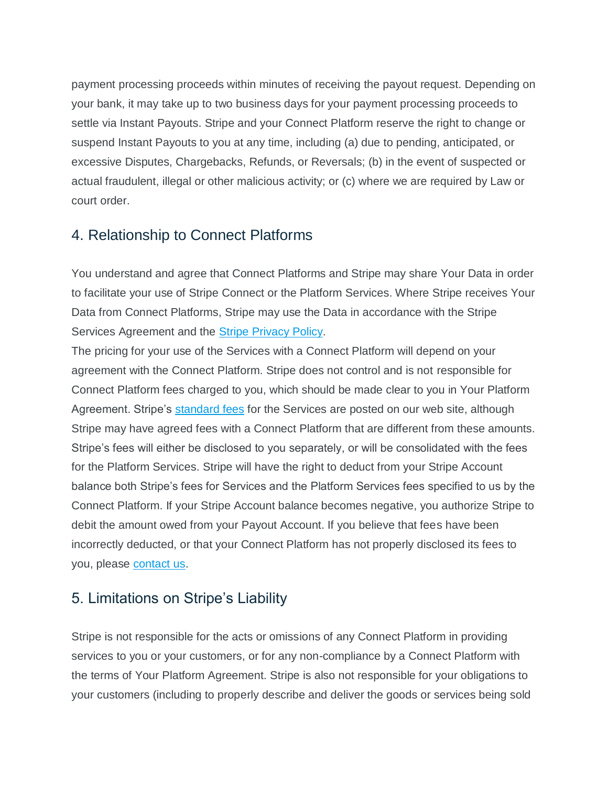payment processing proceeds within minutes of receiving the payout request. Depending on your bank, it may take up to two business days for your payment processing proceeds to settle via Instant Payouts. Stripe and your Connect Platform reserve the right to change or suspend Instant Payouts to you at any time, including (a) due to pending, anticipated, or excessive Disputes, Chargebacks, Refunds, or Reversals; (b) in the event of suspected or actual fraudulent, illegal or other malicious activity; or (c) where we are required by Law or court order.

## 4. Relationship to Connect Platforms

You understand and agree that Connect Platforms and Stripe may share Your Data in order to facilitate your use of Stripe Connect or the Platform Services. Where Stripe receives Your Data from Connect Platforms, Stripe may use the Data in accordance with the Stripe Services Agreement and the **Stripe [Privacy](https://stripe.com/privacy) Policy.** 

The pricing for your use of the Services with a Connect Platform will depend on your agreement with the Connect Platform. Stripe does not control and is not responsible for Connect Platform fees charged to you, which should be made clear to you in Your Platform Agreement. Stripe's [standard](https://stripe.com/pricing) fees for the Services are posted on our web site, although Stripe may have agreed fees with a Connect Platform that are different from these amounts. Stripe's fees will either be disclosed to you separately, or will be consolidated with the fees for the Platform Services. Stripe will have the right to deduct from your Stripe Account balance both Stripe's fees for Services and the Platform Services fees specified to us by the Connect Platform. If your Stripe Account balance becomes negative, you authorize Stripe to debit the amount owed from your Payout Account. If you believe that fees have been incorrectly deducted, or that your Connect Platform has not properly disclosed its fees to you, please [contact](https://stripe.com/contact) us.

# 5. Limitations on Stripe's Liability

Stripe is not responsible for the acts or omissions of any Connect Platform in providing services to you or your customers, or for any non-compliance by a Connect Platform with the terms of Your Platform Agreement. Stripe is also not responsible for your obligations to your customers (including to properly describe and deliver the goods or services being sold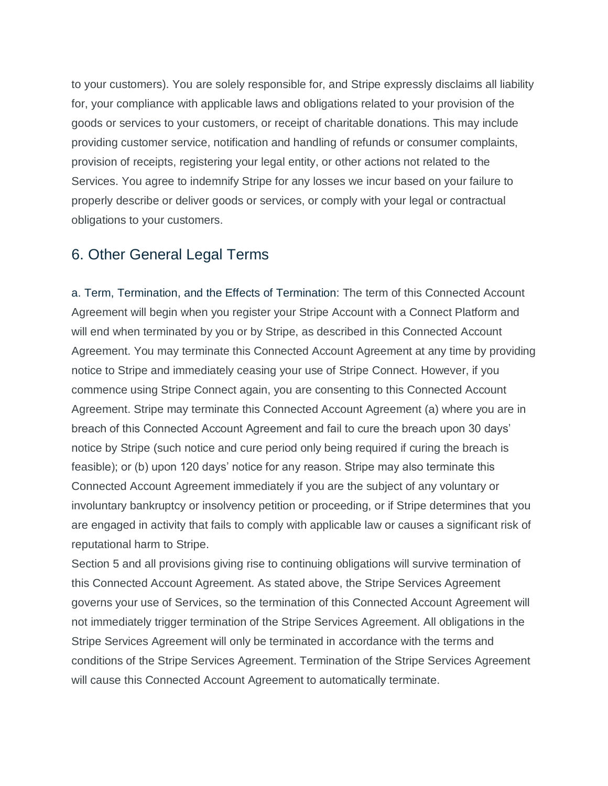to your customers). You are solely responsible for, and Stripe expressly disclaims all liability for, your compliance with applicable laws and obligations related to your provision of the goods or services to your customers, or receipt of charitable donations. This may include providing customer service, notification and handling of refunds or consumer complaints, provision of receipts, registering your legal entity, or other actions not related to the Services. You agree to indemnify Stripe for any losses we incur based on your failure to properly describe or deliver goods or services, or comply with your legal or contractual obligations to your customers.

### 6. Other General Legal Terms

a. Term, Termination, and the Effects of Termination: The term of this Connected Account Agreement will begin when you register your Stripe Account with a Connect Platform and will end when terminated by you or by Stripe, as described in this Connected Account Agreement. You may terminate this Connected Account Agreement at any time by providing notice to Stripe and immediately ceasing your use of Stripe Connect. However, if you commence using Stripe Connect again, you are consenting to this Connected Account Agreement. Stripe may terminate this Connected Account Agreement (a) where you are in breach of this Connected Account Agreement and fail to cure the breach upon 30 days' notice by Stripe (such notice and cure period only being required if curing the breach is feasible); or (b) upon 120 days' notice for any reason. Stripe may also terminate this Connected Account Agreement immediately if you are the subject of any voluntary or involuntary bankruptcy or insolvency petition or proceeding, or if Stripe determines that you are engaged in activity that fails to comply with applicable law or causes a significant risk of reputational harm to Stripe.

Section 5 and all provisions giving rise to continuing obligations will survive termination of this Connected Account Agreement. As stated above, the Stripe Services Agreement governs your use of Services, so the termination of this Connected Account Agreement will not immediately trigger termination of the Stripe Services Agreement. All obligations in the Stripe Services Agreement will only be terminated in accordance with the terms and conditions of the Stripe Services Agreement. Termination of the Stripe Services Agreement will cause this Connected Account Agreement to automatically terminate.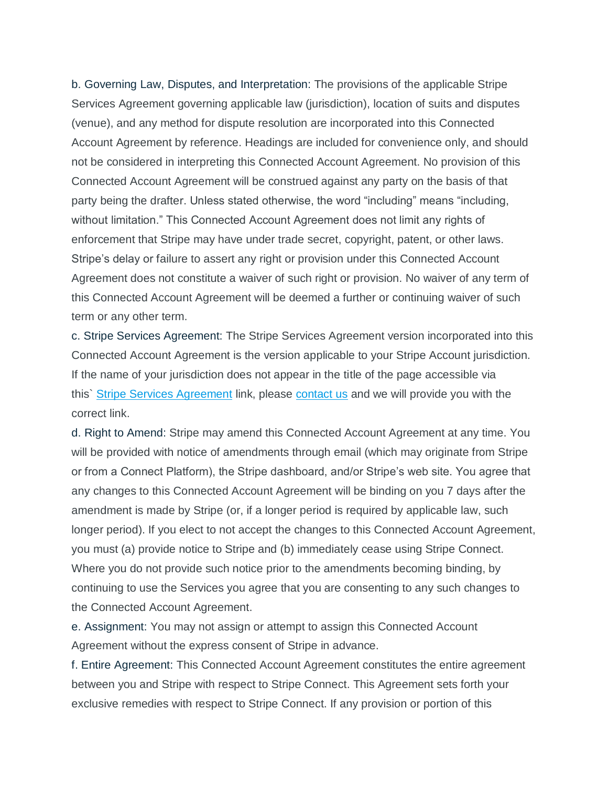b. Governing Law, Disputes, and Interpretation: The provisions of the applicable Stripe Services Agreement governing applicable law (jurisdiction), location of suits and disputes (venue), and any method for dispute resolution are incorporated into this Connected Account Agreement by reference. Headings are included for convenience only, and should not be considered in interpreting this Connected Account Agreement. No provision of this Connected Account Agreement will be construed against any party on the basis of that party being the drafter. Unless stated otherwise, the word "including" means "including, without limitation." This Connected Account Agreement does not limit any rights of enforcement that Stripe may have under trade secret, copyright, patent, or other laws. Stripe's delay or failure to assert any right or provision under this Connected Account Agreement does not constitute a waiver of such right or provision. No waiver of any term of this Connected Account Agreement will be deemed a further or continuing waiver of such term or any other term.

c. Stripe Services Agreement: The Stripe Services Agreement version incorporated into this Connected Account Agreement is the version applicable to your Stripe Account jurisdiction. If the name of your jurisdiction does not appear in the title of the page accessible via this` Stripe Services [Agreement](https://stripe.com/legal) link, please [contact](https://stripe.com/contact) us and we will provide you with the correct link.

d. Right to Amend: Stripe may amend this Connected Account Agreement at any time. You will be provided with notice of amendments through email (which may originate from Stripe or from a Connect Platform), the Stripe dashboard, and/or Stripe's web site. You agree that any changes to this Connected Account Agreement will be binding on you 7 days after the amendment is made by Stripe (or, if a longer period is required by applicable law, such longer period). If you elect to not accept the changes to this Connected Account Agreement, you must (a) provide notice to Stripe and (b) immediately cease using Stripe Connect. Where you do not provide such notice prior to the amendments becoming binding, by continuing to use the Services you agree that you are consenting to any such changes to the Connected Account Agreement.

e. Assignment: You may not assign or attempt to assign this Connected Account Agreement without the express consent of Stripe in advance.

f. Entire Agreement: This Connected Account Agreement constitutes the entire agreement between you and Stripe with respect to Stripe Connect. This Agreement sets forth your exclusive remedies with respect to Stripe Connect. If any provision or portion of this